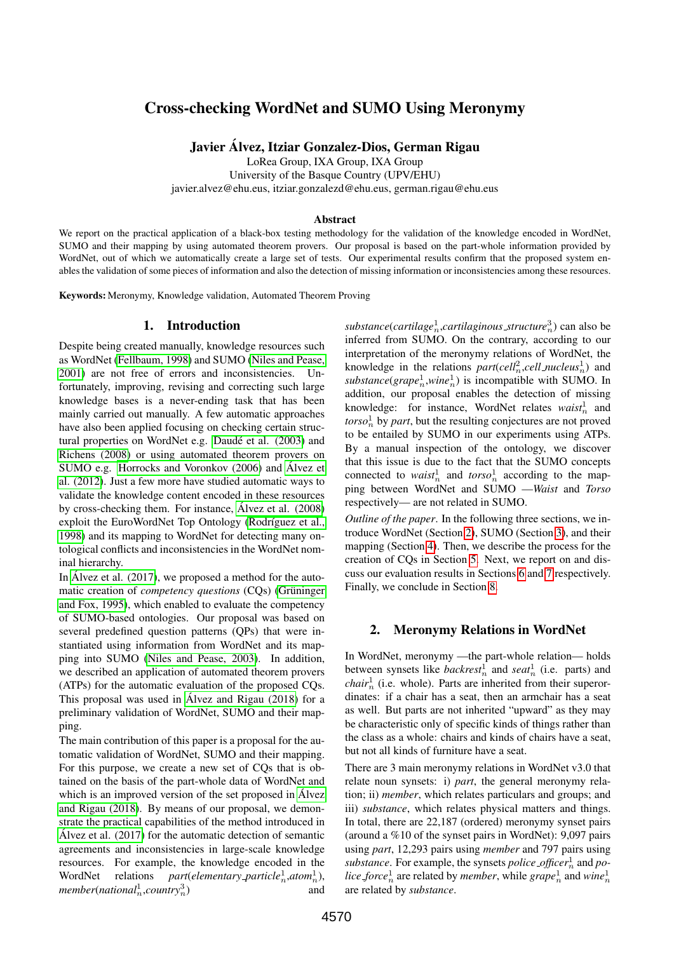# Cross-checking WordNet and SUMO Using Meronymy

Javier Alvez, Itziar Gonzalez-Dios, German Rigau ´

LoRea Group, IXA Group, IXA Group

University of the Basque Country (UPV/EHU)

javier.alvez@ehu.eus, itziar.gonzalezd@ehu.eus, german.rigau@ehu.eus

#### **Abstract**

We report on the practical application of a black-box testing methodology for the validation of the knowledge encoded in WordNet, SUMO and their mapping by using automated theorem provers. Our proposal is based on the part-whole information provided by WordNet, out of which we automatically create a large set of tests. Our experimental results confirm that the proposed system enables the validation of some pieces of information and also the detection of missing information or inconsistencies among these resources.

Keywords: Meronymy, Knowledge validation, Automated Theorem Proving

#### 1. Introduction

<span id="page-0-1"></span>Despite being created manually, knowledge resources such as WordNet [\(Fellbaum, 1998\)](#page-7-0) and SUMO [\(Niles and Pease,](#page-7-1) [2001\)](#page-7-1) are not free of errors and inconsistencies. Unfortunately, improving, revising and correcting such large knowledge bases is a never-ending task that has been mainly carried out manually. A few automatic approaches have also been applied focusing on checking certain structural properties on WordNet e.g. Daudé et al. (2003) and [Richens \(2008\)](#page-7-3) or using automated theorem provers on SUMO e.g. [Horrocks and Voronkov \(2006\)](#page-7-4) and Álvez et [al. \(2012\)](#page-7-5). Just a few more have studied automatic ways to validate the knowledge content encoded in these resources by cross-checking them. For instance, Álvez et al. (2008) exploit the EuroWordNet Top Ontology (Rodríguez et al., [1998\)](#page-7-7) and its mapping to WordNet for detecting many ontological conflicts and inconsistencies in the WordNet nominal hierarchy.

In Álvez et al.  $(2017)$ , we proposed a method for the automatic creation of *competency questions* (CQs) (Grüninger [and Fox, 1995\)](#page-7-9), which enabled to evaluate the competency of SUMO-based ontologies. Our proposal was based on several predefined question patterns (QPs) that were instantiated using information from WordNet and its mapping into SUMO [\(Niles and Pease, 2003\)](#page-7-10). In addition, we described an application of automated theorem provers (ATPs) for the automatic evaluation of the proposed CQs. This proposal was used in [Alvez and Rigau \(2018\)](#page-7-11) for a ´ preliminary validation of WordNet, SUMO and their mapping.

The main contribution of this paper is a proposal for the automatic validation of WordNet, SUMO and their mapping. For this purpose, we create a new set of CQs that is obtained on the basis of the part-whole data of WordNet and which is an improved version of the set proposed in Álvez [and Rigau \(2018\)](#page-7-11). By means of our proposal, we demonstrate the practical capabilities of the method introduced in Álvez et al.  $(2017)$  for the automatic detection of semantic agreements and inconsistencies in large-scale knowledge resources. For example, the knowledge encoded in the WordNet relations *part*(*elementary\_particle*<sup>1</sup><sub>n</sub>,*atom*<sup>1</sup><sub>n</sub>),  $member(national<sub>n</sub><sup>1</sup>, country<sub>n</sub><sup>3</sup>)$ ) and

substance(cartilage<sup>1</sup><sub>n</sub>,cartilaginous\_structure<sup>3</sup><sub>n</sub>) can also be inferred from SUMO. On the contrary, according to our interpretation of the meronymy relations of WordNet, the knowledge in the relations  $part(cell_n^2, cell_{\textit{nucleus}}^1)$  and  $substance(\text{grape}_n^1, \text{wine}_n^1)$  is incompatible with SUMO. In addition, our proposal enables the detection of missing knowledge: for instance, WordNet relates  $waist<sub>n</sub><sup>1</sup>$  and  $torso<sub>n</sub><sup>1</sup>$  by *part*, but the resulting conjectures are not proved to be entailed by SUMO in our experiments using ATPs. By a manual inspection of the ontology, we discover that this issue is due to the fact that the SUMO concepts connected to *waist*<sup>1</sup><sub>n</sub> and *torso*<sup>1</sup><sub>n</sub> according to the mapping between WordNet and SUMO —*Waist* and *Torso* respectively— are not related in SUMO.

*Outline of the paper*. In the following three sections, we introduce WordNet (Section [2\)](#page-0-0), SUMO (Section [3\)](#page-1-0), and their mapping (Section [4\)](#page-1-1). Then, we describe the process for the creation of CQs in Section [5.](#page-2-0) Next, we report on and discuss our evaluation results in Sections [6](#page-5-0) and [7](#page-6-0) respectively. Finally, we conclude in Section [8.](#page-7-12)

# 2. Meronymy Relations in WordNet

<span id="page-0-0"></span>In WordNet, meronymy —the part-whole relation— holds between synsets like *backrest*<sup>1</sup><sub>n</sub> and *seat*<sup>1</sup><sub>n</sub> (i.e. parts) and  $chair<sub>n</sub><sup>1</sup>$  (i.e. whole). Parts are inherited from their superordinates: if a chair has a seat, then an armchair has a seat as well. But parts are not inherited "upward" as they may be characteristic only of specific kinds of things rather than the class as a whole: chairs and kinds of chairs have a seat, but not all kinds of furniture have a seat.

There are 3 main meronymy relations in WordNet v3.0 that relate noun synsets: i) *part*, the general meronymy relation; ii) *member*, which relates particulars and groups; and iii) *substance*, which relates physical matters and things. In total, there are 22,187 (ordered) meronymy synset pairs (around a %10 of the synset pairs in WordNet): 9,097 pairs using *part*, 12,293 pairs using *member* and 797 pairs using substance. For example, the synsets *police officer*<sup>1</sup><sub>n</sub> and *po*lice force<sup>1</sup><sub>n</sub> are related by *member*, while  $\text{grape}_n^1$  and  $\text{win}e_n^1$ are related by *substance*.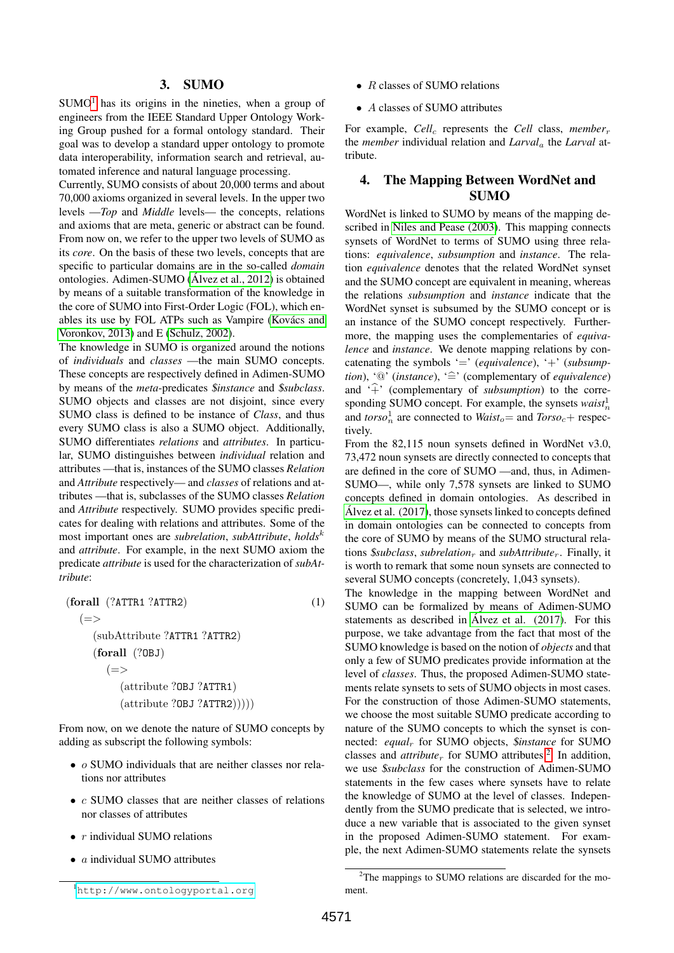# 3. SUMO

<span id="page-1-0"></span> $SUMO<sup>1</sup>$  $SUMO<sup>1</sup>$  $SUMO<sup>1</sup>$  has its origins in the nineties, when a group of engineers from the IEEE Standard Upper Ontology Working Group pushed for a formal ontology standard. Their goal was to develop a standard upper ontology to promote data interoperability, information search and retrieval, automated inference and natural language processing.

Currently, SUMO consists of about 20,000 terms and about 70,000 axioms organized in several levels. In the upper two levels —*Top* and *Middle* levels— the concepts, relations and axioms that are meta, generic or abstract can be found. From now on, we refer to the upper two levels of SUMO as its *core*. On the basis of these two levels, concepts that are specific to particular domains are in the so-called *domain* ontologies. Adimen-SUMO [\(Alvez et al., 2012\)](#page-7-5) is obtained ´ by means of a suitable transformation of the knowledge in the core of SUMO into First-Order Logic (FOL), which enables its use by FOL ATPs such as Vampire (Kovács and [Voronkov, 2013\)](#page-7-13) and E [\(Schulz, 2002\)](#page-7-14).

The knowledge in SUMO is organized around the notions of *individuals* and *classes* —the main SUMO concepts. These concepts are respectively defined in Adimen-SUMO by means of the *meta*-predicates \$*instance* and \$*subclass*. SUMO objects and classes are not disjoint, since every SUMO class is defined to be instance of *Class*, and thus every SUMO class is also a SUMO object. Additionally, SUMO differentiates *relations* and *attributes*. In particular, SUMO distinguishes between *individual* relation and attributes —that is, instances of the SUMO classes *Relation* and *Attribute* respectively— and *classes* of relations and attributes —that is, subclasses of the SUMO classes *Relation* and *Attribute* respectively. SUMO provides specific predicates for dealing with relations and attributes. Some of the most important ones are *subrelation*, *subAttribute*, *holds*<sup>k</sup> and *attribute*. For example, in the next SUMO axiom the predicate *attribute* is used for the characterization of *subAttribute*:

(forall (?ATTR1 ?ATTR2) (1)  $(=>$ (subAttribute ?ATTR1 ?ATTR2) (forall (?OBJ)  $(=>$ (attribute ?OBJ ?ATTR1)  $(\text{attribute ?OBJ ?ATTR2})))$ 

From now, on we denote the nature of SUMO concepts by adding as subscript the following symbols:

- *o* SUMO individuals that are neither classes nor relations nor attributes
- $c$  SUMO classes that are neither classes of relations nor classes of attributes
- $r$  individual SUMO relations
- *a* individual SUMO attributes

• A classes of SUMO attributes

For example, *Cell<sub>c</sub>* represents the *Cell* class, *member<sub>r</sub>* the *member* individual relation and *Larval*<sup>a</sup> the *Larval* attribute.

## 4. The Mapping Between WordNet and SUMO

<span id="page-1-1"></span>WordNet is linked to SUMO by means of the mapping described in [Niles and Pease \(2003\)](#page-7-10). This mapping connects synsets of WordNet to terms of SUMO using three relations: *equivalence*, *subsumption* and *instance*. The relation *equivalence* denotes that the related WordNet synset and the SUMO concept are equivalent in meaning, whereas the relations *subsumption* and *instance* indicate that the WordNet synset is subsumed by the SUMO concept or is an instance of the SUMO concept respectively. Furthermore, the mapping uses the complementaries of *equivalence* and *instance*. We denote mapping relations by concatenating the symbols '=' (*equivalence*), '+' (*subsumption*), '<sup> $@$ </sup> (*instance*), ' $\hat{=}$ ' (complementary of *equivalence*) and  $\hat{f}$  (complementary of *subsumption*) to the corresponding SUMO concept. For example, the synsets  $waist<sub>n</sub><sup>1</sup>$ and  $torso_n^1$  are connected to  $Waist_o$  and  $Torso_c$  + respectively.

From the 82,115 noun synsets defined in WordNet v3.0, 73,472 noun synsets are directly connected to concepts that are defined in the core of SUMO —and, thus, in Adimen-SUMO—, while only 7,578 synsets are linked to SUMO concepts defined in domain ontologies. As described in Álvez et al.  $(2017)$ , those synsets linked to concepts defined in domain ontologies can be connected to concepts from the core of SUMO by means of the SUMO structural relations \$*subclass*, *subrelation*<sup>r</sup> and *subAttribute*r. Finally, it is worth to remark that some noun synsets are connected to several SUMO concepts (concretely, 1,043 synsets).

The knowledge in the mapping between WordNet and SUMO can be formalized by means of Adimen-SUMO statements as described in Álvez et al.  $(2017)$ . For this purpose, we take advantage from the fact that most of the SUMO knowledge is based on the notion of *objects* and that only a few of SUMO predicates provide information at the level of *classes*. Thus, the proposed Adimen-SUMO statements relate synsets to sets of SUMO objects in most cases. For the construction of those Adimen-SUMO statements, we choose the most suitable SUMO predicate according to nature of the SUMO concepts to which the synset is connected: *equal*<sup>r</sup> for SUMO objects, \$*instance* for SUMO classes and  $attribute_r$  for SUMO attributes.<sup>[2](#page-1-3)</sup> In addition, we use \$*subclass* for the construction of Adimen-SUMO statements in the few cases where synsets have to relate the knowledge of SUMO at the level of classes. Independently from the SUMO predicate that is selected, we introduce a new variable that is associated to the given synset in the proposed Adimen-SUMO statement. For example, the next Adimen-SUMO statements relate the synsets

<span id="page-1-3"></span><sup>2</sup>The mappings to SUMO relations are discarded for the mo-

<sup>•</sup>  $R$  classes of SUMO relations

<span id="page-1-2"></span><sup>1</sup><http://www.ontologyportal.org> ment.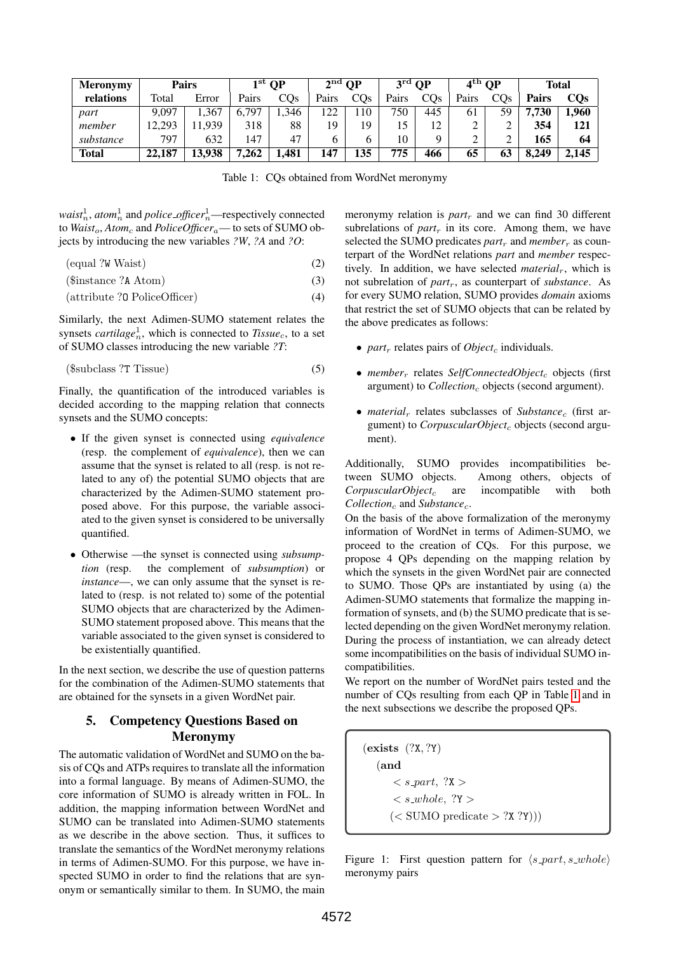| <b>Meronymy</b> | <b>Pairs</b> |        | $1^{\rm st}$ OP |       | $2nd$ OP |     | $3rd$ OP |        | $4th$ OP |     | Total |       |
|-----------------|--------------|--------|-----------------|-------|----------|-----|----------|--------|----------|-----|-------|-------|
| relations       | <b>Total</b> | Error  | Pairs           | COs   | Pairs    | COs | Pairs    | $\cos$ | Pairs    | COs | Pairs | COs   |
| part            | 9.097        | .367   | ,797            | 346   | ר רו     | 10  | 750      | 445    | 61       | 59  | 7.730 | .960  |
| member          | 12.293       | 1.939  | 318             | 88    | 19       | 19  |          | 12     |          |     | 354   | 121   |
| substance       | 797          | 632    | 147             | 47    | h        | h   | 10       | a      |          |     | 165   | 64    |
| <b>Total</b>    | 22,187       | 13.938 | 7,262           | 1,481 | 47ء      | 135 | 775      | 466    | 65       | 63  | 8.249 | 2.145 |

<span id="page-2-1"></span>Table 1: CQs obtained from WordNet meronymy

 $waist_n^1$ ,  $atom_n^1$  and  $policy\_offset_n^1$ —respectively connected to *Waist<sub>o</sub>*, *Atom<sub>c</sub>* and *PoliceOfficer<sub>a</sub>*— to sets of SUMO objects by introducing the new variables *?W*, *?A* and *?O*:

(equal ?W Waist) (2)

$$
($instance ?A Atom) \tag{3}
$$

$$
(attribute ?0 PolicyOffice) \t(4)
$$

Similarly, the next Adimen-SUMO statement relates the synsets *cartilage*<sup>1</sup><sub>*n*</sub>, which is connected to *Tissue<sub>c</sub>*, to a set of SUMO classes introducing the new variable *?T*:

$$
($subclass ?T Tissue) \tag{5}
$$

Finally, the quantification of the introduced variables is decided according to the mapping relation that connects synsets and the SUMO concepts:

- If the given synset is connected using *equivalence* (resp. the complement of *equivalence*), then we can assume that the synset is related to all (resp. is not related to any of) the potential SUMO objects that are characterized by the Adimen-SUMO statement proposed above. For this purpose, the variable associated to the given synset is considered to be universally quantified.
- Otherwise —the synset is connected using *subsumption* (resp. the complement of *subsumption*) or *instance*—, we can only assume that the synset is related to (resp. is not related to) some of the potential SUMO objects that are characterized by the Adimen-SUMO statement proposed above. This means that the variable associated to the given synset is considered to be existentially quantified.

In the next section, we describe the use of question patterns for the combination of the Adimen-SUMO statements that are obtained for the synsets in a given WordNet pair.

# 5. Competency Questions Based on Meronymy

<span id="page-2-0"></span>The automatic validation of WordNet and SUMO on the basis of CQs and ATPs requires to translate all the information into a formal language. By means of Adimen-SUMO, the core information of SUMO is already written in FOL. In addition, the mapping information between WordNet and SUMO can be translated into Adimen-SUMO statements as we describe in the above section. Thus, it suffices to translate the semantics of the WordNet meronymy relations in terms of Adimen-SUMO. For this purpose, we have inspected SUMO in order to find the relations that are synonym or semantically similar to them. In SUMO, the main

meronymy relation is  $part<sub>r</sub>$  and we can find 30 different subrelations of  $part<sub>r</sub>$  in its core. Among them, we have selected the SUMO predicates  $part_r$  and  $member_r$  as counterpart of the WordNet relations *part* and *member* respectively. In addition, we have selected *material<sub>r</sub>*, which is not subrelation of *part*r, as counterpart of *substance*. As for every SUMO relation, SUMO provides *domain* axioms that restrict the set of SUMO objects that can be related by the above predicates as follows:

- *part<sub>r</sub>* relates pairs of *Object<sub>c</sub>* individuals.
- *member<sub>r</sub>* relates *SelfConnectedObject<sub>c</sub>* objects (first argument) to *Collection<sub>c</sub>* objects (second argument).
- *material<sub>r</sub>* relates subclasses of *Substance<sub>c</sub>* (first argument) to *CorpuscularObject<sub>c</sub>* objects (second argument).

Additionally, SUMO provides incompatibilities between SUMO objects. Among others, objects of *CorpuscularObject<sub>c</sub>* are incompatible with both  $Collection<sub>c</sub>$  and *Substance*<sub>c</sub>.

On the basis of the above formalization of the meronymy information of WordNet in terms of Adimen-SUMO, we proceed to the creation of CQs. For this purpose, we propose 4 QPs depending on the mapping relation by which the synsets in the given WordNet pair are connected to SUMO. Those QPs are instantiated by using (a) the Adimen-SUMO statements that formalize the mapping information of synsets, and (b) the SUMO predicate that is selected depending on the given WordNet meronymy relation. During the process of instantiation, we can already detect some incompatibilities on the basis of individual SUMO incompatibilities.

We report on the number of WordNet pairs tested and the number of CQs resulting from each QP in Table [1](#page-2-1) and in the next subsections we describe the proposed QPs.

(exists (?X, ?Y) (and  $\langle$  s\_part, ?X  $>$  $\langle$  s\_whole, ?Y  $>$  $(<$  SUMO predicate  $>$  ?X ?Y))

<span id="page-2-2"></span>Figure 1: First question pattern for  $\langle s$ -part, s whole) meronymy pairs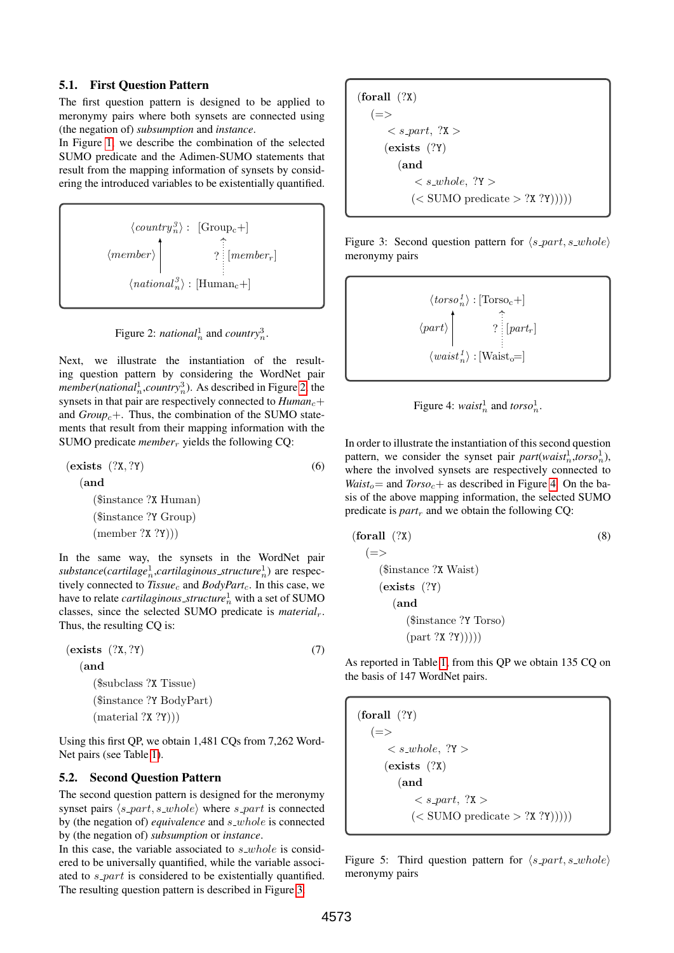## 5.1. First Question Pattern

The first question pattern is designed to be applied to meronymy pairs where both synsets are connected using (the negation of) *subsumption* and *instance*.

In Figure [1,](#page-2-2) we describe the combination of the selected SUMO predicate and the Adimen-SUMO statements that result from the mapping information of synsets by considering the introduced variables to be existentially quantified.

$$
\langle country_n^3 \rangle: [\text{Group}_c+] \n\langle member \rangle \begin{bmatrix} \hat{1} & \hat{2} \\ \hat{2} & \hat{3} \\ \hat{3} & \hat{4} \end{bmatrix} \quad \text{[member }_r \text{]}
$$
\n
$$
\langle national_n^3 \rangle : [\text{Human}_c +]
$$

<span id="page-3-0"></span>

Next, we illustrate the instantiation of the resulting question pattern by considering the WordNet pair *member*(*national*<sub>n</sub>,*country*<sub>2</sub><sup>3</sup>). As described in Figure [2,](#page-3-0) the synsets in that pair are respectively connected to  $Human_c+$ and  $Group_c+$ . Thus, the combination of the SUMO statements that result from their mapping information with the SUMO predicate *member<sub>r</sub>* yields the following CQ:

 $(exists (?X, ?Y)$  (6) (and (\$instance ?X Human) (\$instance ?Y Group)  $(member ?X ?Y))$ 

In the same way, the synsets in the WordNet pair substance(cartilage<sup>1</sup><sub>n</sub>,cartilaginous\_structure<sup>1</sup><sub>n</sub>) are respectively connected to *Tissue<sub>c</sub>* and *BodyPart<sub>c</sub>*. In this case, we have to relate *cartilaginous\_structure* $^1_n$  with a set of SUMO classes, since the selected SUMO predicate is *material*r. Thus, the resulting CQ is:

 $(exists (?X, ?Y)$  (7) (and (\$subclass ?X Tissue) (\$instance ?Y BodyPart)  $(\text{material } ?X ?Y))$ 

Using this first QP, we obtain 1,481 CQs from 7,262 Word-Net pairs (see Table [1\)](#page-2-1).

#### 5.2. Second Question Pattern

The second question pattern is designed for the meronymy synset pairs  $\langle s$ -part, s whole) where s part is connected by (the negation of) *equivalence* and *s*\_whole is connected by (the negation of) *subsumption* or *instance*.

In this case, the variable associated to  $s$ -whole is considered to be universally quantified, while the variable associated to *s\_part* is considered to be existentially quantified. The resulting question pattern is described in Figure [3.](#page-3-1)

$$
(\text{for all }(?X) \n(=>  \n(\text{exists }(?Y) (and  (< SUMO predicate > ?X ?Y))))
$$

<span id="page-3-1"></span>Figure 3: Second question pattern for  $\langle s$ -part, s whole) meronymy pairs

$$
\left\langle torso_n^1 \right\rangle : [\text{Torso}_c +]
$$
  

$$
\left\langle part \right\rangle
$$
  

$$
\left\langle quart_{n}^1 \right\rangle : [\text{Wait}_o =]
$$

<span id="page-3-6"></span><span id="page-3-2"></span>

<span id="page-3-4"></span>In order to illustrate the instantiation of this second question pattern, we consider the synset pair  $part(wais t_n^1, tors o_n^1)$ , where the involved synsets are respectively connected to *Waist*<sub>o</sub> = and *Torso*<sub>c</sub> + as described in Figure [4.](#page-3-2) On the basis of the above mapping information, the selected SUMO predicate is  $part_r$  and we obtain the following CQ:

$$
\begin{array}{ll}\n\textbf{(forall (?X)} & (8) \\
\textcolor{blue}{(=)} & \textbf{(\$instance ?X Wait)} \\
\textcolor{blue}{(\textbf{exists (?Y)} & \textbf{(and)} \\
& \textbf{(\$instance ?Y Torso)} & \textbf{(part ?X ?Y))))}\n\end{array}
$$

<span id="page-3-5"></span>As reported in Table [1,](#page-2-1) from this QP we obtain 135 CQ on the basis of 147 WordNet pairs.

(forall (?Y)  $(=>$  $\langle$  s\_whole, ?Y  $>$ (exists (?X) (and  $\langle$  s\_part,  $?X>$  $(<$  SUMO predicate  $>$  ?X ?Y)))))

<span id="page-3-3"></span>Figure 5: Third question pattern for  $\langle s$ -part, s whole) meronymy pairs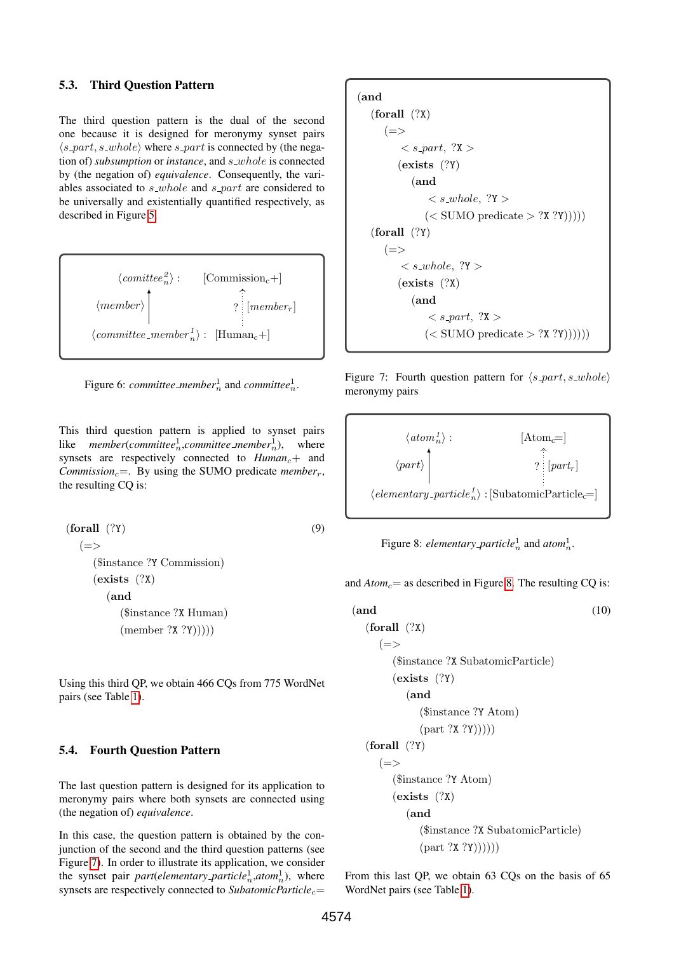## 5.3. Third Question Pattern

The third question pattern is the dual of the second one because it is designed for meronymy synset pairs  $\langle s$ -*part*, s *whole*) where s *part* is connected by (the negation of) *subsumption* or *instance*, and *s\_whole* is connected by (the negation of) *equivalence*. Consequently, the variables associated to  $s$ -whole and  $s$ -part are considered to be universally and existentially quantified respectively, as described in Figure [5.](#page-3-3)



Figure 6: *committee\_member*<sup>1</sup><sub>n</sub> and *committee*<sup>1</sup><sub>n</sub>.

This third question pattern is applied to synset pairs like *member*(*committee*<sup>1</sup><sub>*n</sub>*,*committee member*<sup>1</sup><sub>*n*</sub>), where</sub> synsets are respectively connected to  $Human_c+$  and *Commission<sub>c</sub>*=. By using the SUMO predicate *member<sub>r</sub>*, the resulting CQ is:

```
(forall (?) (9)
 (=>($instance ?Y Commission)
   (exists (?X)
     (and
       ($instance ?X Human)
       (member ?X ?Y))))
```
Using this third QP, we obtain 466 CQs from 775 WordNet pairs (see Table [1\)](#page-2-1).

#### 5.4. Fourth Question Pattern

The last question pattern is designed for its application to meronymy pairs where both synsets are connected using (the negation of) *equivalence*.

In this case, the question pattern is obtained by the conjunction of the second and the third question patterns (see Figure [7\)](#page-4-0). In order to illustrate its application, we consider the synset pair *part*(*elementary\_particle*<sup>1</sup><sub>n</sub>,*atom*<sup>1</sup><sub>n</sub>), where synsets are respectively connected to *SubatomicParticle<sub>c</sub>*=

$$
(and\n(forall (?X)\n(=>\n\n< s-part, ?X >\n\n(exists (?Y)\n(and\n< s.where, ?Y >\n\n(< SUMO predicate > ?X ?Y))))\n(forall (?Y)\n(=>\n\n< se
$$

<span id="page-4-0"></span>Figure 7: Fourth question pattern for  $\langle s$ -part, s whole) meronymy pairs



<span id="page-4-2"></span><span id="page-4-1"></span>Figure 8: *elementary\_particle*<sup>1</sup><sub>n</sub> and *atom*<sup>1</sup><sub>n</sub>.

<span id="page-4-3"></span>and  $Atom_c=$  as described in Figure [8.](#page-4-1) The resulting CQ is:

(and (10) (forall (?X) (=> (\$instance ?X SubatomicParticle) (exists (?Y) (and (\$instance ?Y Atom) (part ?X ?Y))))) (forall (?Y) (=> (\$instance ?Y Atom) (exists (?X) (and (\$instance ?X SubatomicParticle) (part ?X ?Y))))))

From this last QP, we obtain 63 CQs on the basis of 65 WordNet pairs (see Table [1\)](#page-2-1).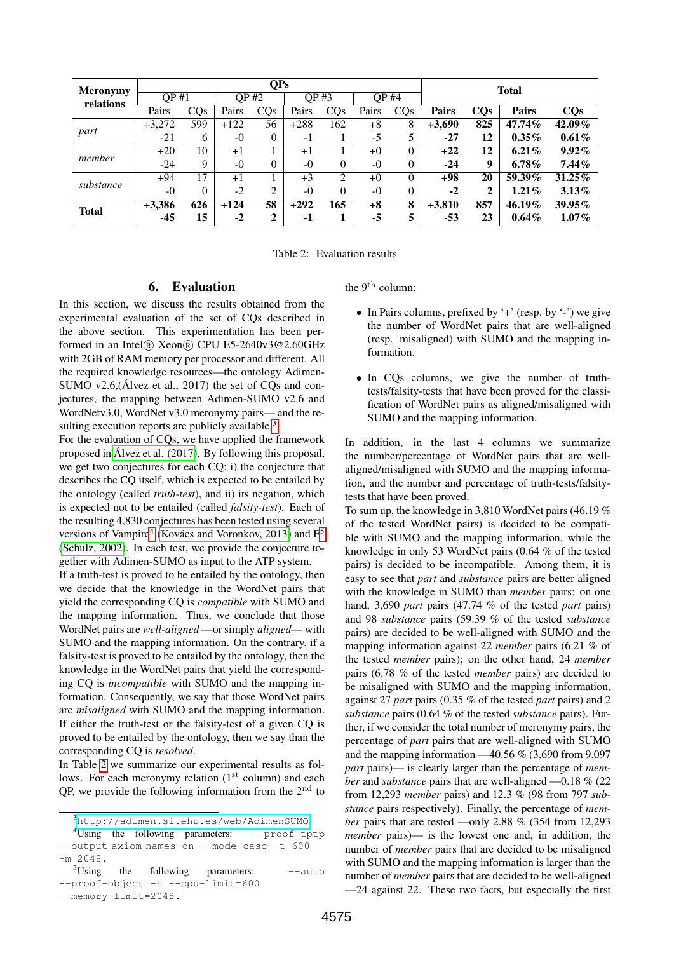| <b>Meronymy</b><br>relations | <b>QPs</b> |     |        |          |        |                |              |          |              | <b>Total</b> |              |            |  |  |
|------------------------------|------------|-----|--------|----------|--------|----------------|--------------|----------|--------------|--------------|--------------|------------|--|--|
|                              | OP#1       |     | OP #2  |          | OP #3  |                | <b>OP #4</b> |          |              |              |              |            |  |  |
|                              | Pairs      | CQs | Pairs  | CQs      | Pairs  | CQs            | Pairs        | CQs      | <b>Pairs</b> | CQs          | <b>Pairs</b> | <b>CQs</b> |  |  |
| part                         | $+3,272$   | 599 | $+122$ | 56       | $+288$ | 162            | $+8$         | 8        | $+3,690$     | 825          | 47.74%       | 42.09%     |  |  |
|                              | $-21$      | 6   | $-0$   | 0        | $-1$   |                | $-5$         | 5        | $-27$        | 12           | $0.35\%$     | 0.61%      |  |  |
| member                       | $+20$      | 10  | $+1$   |          | $+1$   |                | $+0$         | $\theta$ | $+22$        | 12           | $6.21\%$     | $9.92\%$   |  |  |
|                              | $-24$      | 9   | $-()$  | $\Omega$ | $-$ 0  | $\theta$       | $-0$         | 0        | -24          | 9            | $6.78\%$     | $7.44\%$   |  |  |
| substance                    | $+94$      | 17  | $+1$   |          | $+3$   | $\overline{c}$ | $+0$         | $\Omega$ | $+98$        | 20           | 59.39%       | $31.25\%$  |  |  |
|                              | $-0$       | 0   | $-2$   | 2        | $-$ 0  | $\Omega$       | $-()$        | 0        | $-2$         | າ            | $1.21\%$     | $3.13\%$   |  |  |
| <b>Total</b>                 | $+3,386$   | 626 | $+124$ | 58       | $+292$ | 165            | $+8$         | 8        | $+3,810$     | 857          | 46.19%       | 39.95%     |  |  |
|                              | $-45$      | 15  | $-2$   | 2        | -1     |                | $-5$         | 5        | $-53$        | 23           | $0.64\%$     | $1.07\%$   |  |  |

<span id="page-5-4"></span>Table 2: Evaluation results

#### 6. Evaluation

<span id="page-5-0"></span>In this section, we discuss the results obtained from the experimental evaluation of the set of CQs described in the above section. This experimentation has been performed in an Intel® Xeon® CPU E5-2640v3@2.60GHz with 2GB of RAM memory per processor and different. All the required knowledge resources—the ontology Adimen-SUMO v2.6,( $\acute{A}$ lvez et al., 2017) the set of CQs and conjectures, the mapping between Adimen-SUMO v2.6 and WordNetv3.0, WordNet v3.0 meronymy pairs— and the re-sulting execution reports are publicly available.<sup>[3](#page-5-1)</sup>

For the evaluation of CQs, we have applied the framework proposed in [Alvez et al. \(2017\)](#page-7-8). By following this proposal, ´ we get two conjectures for each CQ: i) the conjecture that describes the CQ itself, which is expected to be entailed by the ontology (called *truth-test*), and ii) its negation, which is expected not to be entailed (called *falsity-test*). Each of the resulting 4,830 conjectures has been tested using several versions of Vampire<sup>[4](#page-5-2)</sup> (Kovács and Voronkov, 2013) and E<sup>[5](#page-5-3)</sup> [\(Schulz, 2002\)](#page-7-14). In each test, we provide the conjecture together with Adimen-SUMO as input to the ATP system.

If a truth-test is proved to be entailed by the ontology, then we decide that the knowledge in the WordNet pairs that yield the corresponding CQ is *compatible* with SUMO and the mapping information. Thus, we conclude that those WordNet pairs are *well-aligned* —or simply *aligned*— with SUMO and the mapping information. On the contrary, if a falsity-test is proved to be entailed by the ontology, then the knowledge in the WordNet pairs that yield the corresponding CQ is *incompatible* with SUMO and the mapping information. Consequently, we say that those WordNet pairs are *misaligned* with SUMO and the mapping information. If either the truth-test or the falsity-test of a given CQ is proved to be entailed by the ontology, then we say than the corresponding CQ is *resolved*.

In Table [2](#page-5-4) we summarize our experimental results as follows. For each meronymy relation  $(1<sup>st</sup>$  column) and each OP, we provide the following information from the  $2<sup>nd</sup>$  to

the 9th column:

- In Pairs columns, prefixed by '+' (resp. by '-') we give the number of WordNet pairs that are well-aligned (resp. misaligned) with SUMO and the mapping information.
- In CQs columns, we give the number of truthtests/falsity-tests that have been proved for the classification of WordNet pairs as aligned/misaligned with SUMO and the mapping information.

In addition, in the last 4 columns we summarize the number/percentage of WordNet pairs that are wellaligned/misaligned with SUMO and the mapping information, and the number and percentage of truth-tests/falsitytests that have been proved.

To sum up, the knowledge in 3,810 WordNet pairs (46.19 % of the tested WordNet pairs) is decided to be compatible with SUMO and the mapping information, while the knowledge in only 53 WordNet pairs (0.64 % of the tested pairs) is decided to be incompatible. Among them, it is easy to see that *part* and *substance* pairs are better aligned with the knowledge in SUMO than *member* pairs: on one hand, 3,690 *part* pairs (47.74 % of the tested *part* pairs) and 98 *substance* pairs (59.39 % of the tested *substance* pairs) are decided to be well-aligned with SUMO and the mapping information against 22 *member* pairs (6.21 % of the tested *member* pairs); on the other hand, 24 *member* pairs (6.78 % of the tested *member* pairs) are decided to be misaligned with SUMO and the mapping information, against 27 *part* pairs (0.35 % of the tested *part* pairs) and 2 *substance* pairs (0.64 % of the tested *substance* pairs). Further, if we consider the total number of meronymy pairs, the percentage of *part* pairs that are well-aligned with SUMO and the mapping information  $-40.56\%$  (3,690 from 9,097 *part* pairs)— is clearly larger than the percentage of *member* and *substance* pairs that are well-aligned —0.18 % (22) from 12,293 *member* pairs) and 12.3 % (98 from 797 *substance* pairs respectively). Finally, the percentage of *member* pairs that are tested —only 2.88 % (354 from 12,293 *member* pairs)— is the lowest one and, in addition, the number of *member* pairs that are decided to be misaligned with SUMO and the mapping information is larger than the number of *member* pairs that are decided to be well-aligned —24 against 22. These two facts, but especially the first

<span id="page-5-2"></span><span id="page-5-1"></span><sup>3</sup><http://adimen.si.ehu.es/web/AdimenSUMO>

<sup>4</sup>Using the following parameters: --proof tptp --output axiom names on --mode casc -t 600 -m 2048.

<span id="page-5-3"></span> $5$ Using the following parameters:  $--$ auto --proof-object -s --cpu-limit=600 --memory-limit=2048.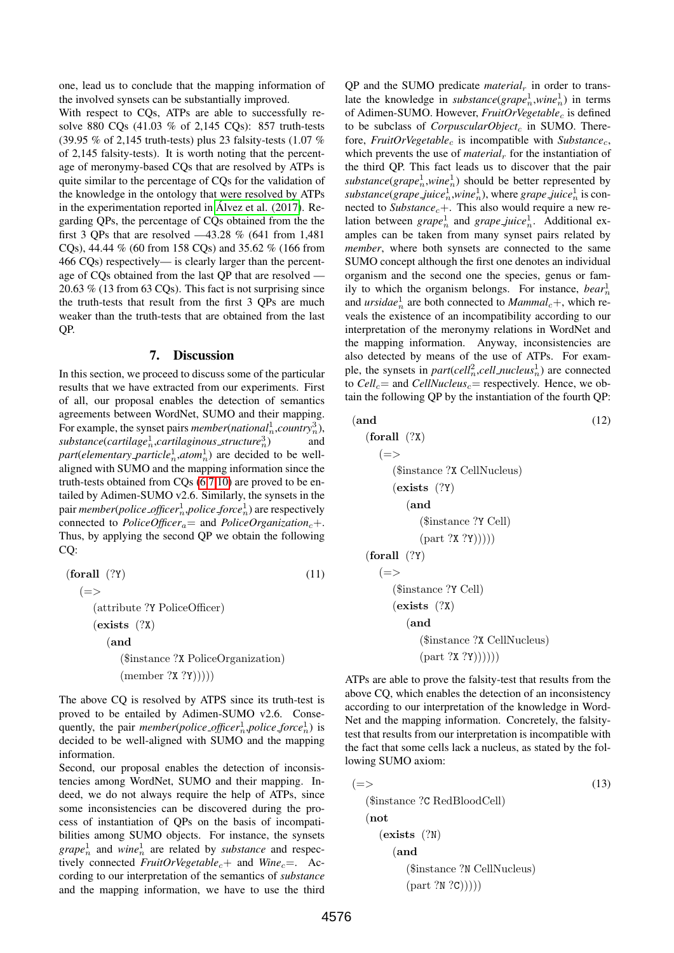one, lead us to conclude that the mapping information of the involved synsets can be substantially improved.

With respect to CQs, ATPs are able to successfully resolve 880 CQs (41.03 % of 2,145 CQs): 857 truth-tests (39.95 % of 2,145 truth-tests) plus 23 falsity-tests (1.07 % of 2,145 falsity-tests). It is worth noting that the percentage of meronymy-based CQs that are resolved by ATPs is quite similar to the percentage of CQs for the validation of the knowledge in the ontology that were resolved by ATPs in the experimentation reported in Álvez et al.  $(2017)$ . Regarding QPs, the percentage of CQs obtained from the the first 3 QPs that are resolved —43.28 % (641 from 1,481 CQs), 44.44 % (60 from 158 CQs) and 35.62 % (166 from 466 CQs) respectively— is clearly larger than the percentage of CQs obtained from the last QP that are resolved — 20.63 % (13 from 63 CQs). This fact is not surprising since the truth-tests that result from the first 3 QPs are much weaker than the truth-tests that are obtained from the last QP.

#### 7. Discussion

<span id="page-6-0"></span>In this section, we proceed to discuss some of the particular results that we have extracted from our experiments. First of all, our proposal enables the detection of semantics agreements between WordNet, SUMO and their mapping. For example, the synset pairs *member*(*national*<sup>1</sup><sub>n</sub>,*country*<sub>n</sub><sup>3</sup>), substance(cartilage<sup>1</sup><sub>n</sub>,cartilaginous\_structure<sup>3</sup><sub>n</sub> ) and  $part(elementary-particle<sub>n</sub><sup>1</sup>,atom<sub>n</sub><sup>1</sup>)$  are decided to be wellaligned with SUMO and the mapping information since the truth-tests obtained from CQs [\(6](#page-3-4)[,7,](#page-3-5)[10\)](#page-4-2) are proved to be entailed by Adimen-SUMO v2.6. Similarly, the synsets in the pair *member*(*police officer*<sup>1</sup> n ,*police force*<sup>1</sup> n ) are respectively connected to *PoliceOfficer*<sub>a</sub>= and *PoliceOrganization<sub>c</sub>+*. Thus, by applying the second QP we obtain the following CQ:

$$
\begin{array}{ll}\n\textbf{(forall (??)} & (11) \\
\textcolor{blue}{(=\,>)} & \textbf{(attribute ?Y PoliceOffice)} \\
\textcolor{blue}{(exists (?X)} & \textbf{(and)} & \textbf{(\$instance ?X PoliceOrganization)} \\
\textcolor{blue}{(member ?X ?Y))))\n\end{array}
$$

The above CQ is resolved by ATPS since its truth-test is proved to be entailed by Adimen-SUMO v2.6. Consequently, the pair *member*(*police\_officer*<sup>1</sup><sub>n</sub>, *police\_force*<sup>1</sup><sub>n</sub>) is decided to be well-aligned with SUMO and the mapping information.

Second, our proposal enables the detection of inconsistencies among WordNet, SUMO and their mapping. Indeed, we do not always require the help of ATPs, since some inconsistencies can be discovered during the process of instantiation of QPs on the basis of incompatibilities among SUMO objects. For instance, the synsets  $grape<sub>n</sub><sup>1</sup>$  and  $wine<sub>n</sub><sup>1</sup>$  are related by *substance* and respectively connected *FruitOrVegetable*<sub>c</sub>+ and *Wine*<sub>c</sub>=. According to our interpretation of the semantics of *substance* and the mapping information, we have to use the third

 $QP$  and the SUMO predicate *material<sub>r</sub>* in order to translate the knowledge in *substance*( $\text{grape}_n^1$ ,  $\text{win}(e_n^1)$  in terms of Adimen-SUMO. However, *FruitOrVegetable<sub>c</sub>* is defined to be subclass of *CorpuscularObject<sub>c</sub>* in SUMO. Therefore, *FruitOrVegetable<sub>c</sub>* is incompatible with *Substance<sub>c</sub>*, which prevents the use of *material<sub>r</sub>* for the instantiation of the third QP. This fact leads us to discover that the pair  $substance(\text{grape}_n^1, \text{wine}_n^1)$  should be better represented by  $substance(grape\_juice_n^1, wine_n^1)$ , where  $grape\_juice_n^1$  is connected to *Substance*<sub>c</sub>+. This also would require a new relation between  $\text{grape}_n^1$  and  $\text{grape}_j \text{uice}_n^1$ . Additional examples can be taken from many synset pairs related by *member*, where both synsets are connected to the same SUMO concept although the first one denotes an individual organism and the second one the species, genus or family to which the organism belongs. For instance,  $bear_n^1$ and  $urside_n^1$  are both connected to  $Mammal_c +$ , which reveals the existence of an incompatibility according to our interpretation of the meronymy relations in WordNet and the mapping information. Anyway, inconsistencies are also detected by means of the use of ATPs. For example, the synsets in *part*(*cell*<sup>2</sup><sub>n</sub>,*cell\_nucleus*<sup>1</sup><sub>n</sub>) are connected to  $Cell_c$  and  $CellNucleus_c$  respectively. Hence, we obtain the following QP by the instantiation of the fourth QP:

(and (12) (forall (?X) (=> (\$instance ?X CellNucleus) (exists (?Y) (and (\$instance ?Y Cell) (part ?X ?Y))))) (forall (?Y) (=> (\$instance ?Y Cell) (exists (?X) (and (\$instance ?X CellNucleus) (part ?X ?Y))))))

ATPs are able to prove the falsity-test that results from the above CQ, which enables the detection of an inconsistency according to our interpretation of the knowledge in Word-Net and the mapping information. Concretely, the falsitytest that results from our interpretation is incompatible with the fact that some cells lack a nucleus, as stated by the following SUMO axiom:

$$
(\equiv \gt)
$$
(13)  
(
$$
(\text{instance ?C RedBlock})
$$
  
(
$$
(\text{not})
$$
  
(
$$
(\text{exists } (\text{?N})
$$
  
(
$$
(\text{instance ?N CellNucleus})
$$
  
(
$$
(\text{part ?N ?C})))))
$$